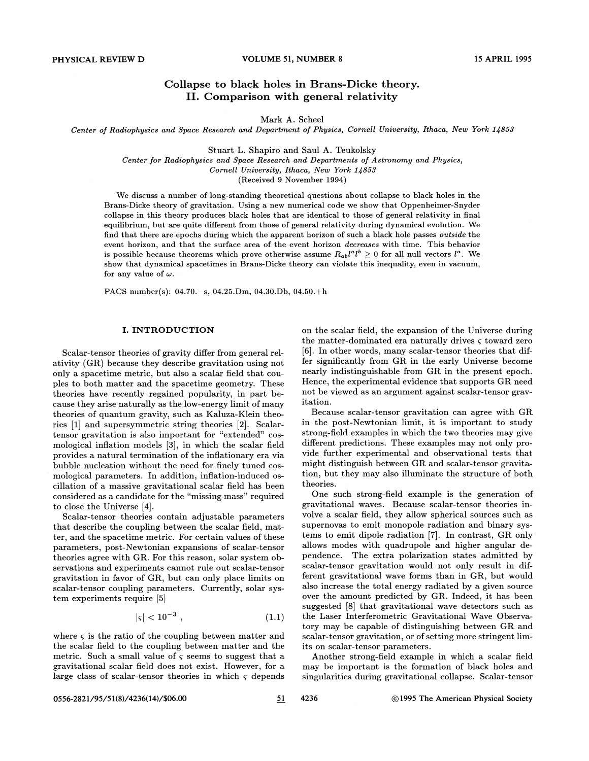# Collapse to black holes in Brans-Dicke theory. II. Comparison with general relativity

Mark A. Scheel

Center of Radiophysics and Space Research and Department of Physics, Cornell University, Ithaca, New York 1/858

Stuart L. Shapiro and Saul A. Teukolsky

Center for Radiophysics and Space Research and Departments of Astronomy and Physics, Cornell University, Ithaca, New York 14853

(Received 9 November 1994)

We discuss a number of long-standing theoretical questions about collapse to black holes in the Brans-Dicke theory of gravitation. Using a new numerical code we show that Oppenheimer-Snyder collapse in this theory produces black holes that are identical to those of general relativity in final equilibrium, but are quite different from those of general relativity during dynamical evolution. We find that there are epochs during which the apparent horizon of such a black hole passes outside the event horizon, and that the surface area of the event horizon decreases with time. This behavior is possible because theorems which prove otherwise assume  $R_{ab}l^a l^b \geq 0$  for all null vectors  $l^a$ . We show that dynamical spacetimes in Brans-Dicke theory can violate this inequality, even in vacuum, for any value of  $\omega$ .

PACS number(s): 04.70.—s, 04.25.Dm, 04.30.Db, 04.50.+h

## I. INTRODUCTION

Scalar-tensor theories of gravity differ from general relativity (GR) because they describe gravitation using not only a spacetime metric, but also a scalar field that couples to both matter and the spacetime geometry. These theories have recently regained popularity, in part because they arise naturally as the low-energy limit of many theories of quantum gravity, such as Kaluza-Klein theories [1] and supersymmetric string theories [2]. Scalartensor gravitation is also important for "extended" cosmological inflation models [3], in which the scalar field provides a natural termination of the inflationary era via bubble nucleation without the need for finely tuned cosmological parameters. In addition, inflation-induced oscillation of a massive gravitational scalar field has been considered as a candidate for the "missing mass" required to close the Universe [4].

Scalar-tensor theories contain adjustable parameters that describe the coupling between the scalar field, matter, and the spacetime metric. For certain values of these parameters, post-Newtonian expansions of scalar-tensor theories agree with GR. For this reason, solar system observations and experiments cannot rule out scalar-tensor gravitation in favor of GR, but can only place limits on scalar-tensor coupling parameters. Currently, solar system experiments require [5]

$$
|\varsigma| < 10^{-3} \tag{1.1}
$$

where  $\varsigma$  is the ratio of the coupling between matter and the scalar field to the coupling between matter and the metric. Such a small value of  $\varsigma$  seems to suggest that a gravitational scalar field does not exist. However, for a large class of scalar-tensor theories in which  $\varsigma$  depends

on the scalar field, the expansion of the Universe during the matter-dominated era naturally drives  $\varsigma$  toward zero [6]. In other words, many scalar-tensor theories that differ significantly from GR in the early Universe become nearly indistinguishable from GR in the present epoch. Hence, the experimental evidence that supports GR need not be viewed as an argument against scalar-tensor gravitation.

Because scalar-tensor gravitation can agree with GR in the post-Newtonian limit, it is important to study strong-field examples in which the two theories may give different predictions. These examples may not only provide further experimental and observational tests that might distinguish between GR and scalar-tensor gravitation, but they may also illuminate the structure of both theories.

One such strong-field example is the generation of gravitational waves. Because scalar-tensor theories involve a scalar field, they allow spherical sources such as supernovas to emit monopole radiation and binary systems to emit dipole radiation [7]. In contrast, GR only allows modes with quadrupole and higher angular dependence. The extra polarization states admitted by scalar-tensor gravitation would not only result in different gravitational wave forms than in GR, but would also increase the total energy radiated by a given source over the amount predicted by GR. Indeed, it has been suggested [8] that gravitational wave detectors such as the Laser Interferometric Gravitational Wave Observatory may be capable of distinguishing between GR and scalar-tensor gravitation, or of setting more stringent limits on scalar-tensor parameters.

Another strong-field example in which a scalar field may be important is the formation of black holes and singularities during gravitational collapse. Scalar-tensor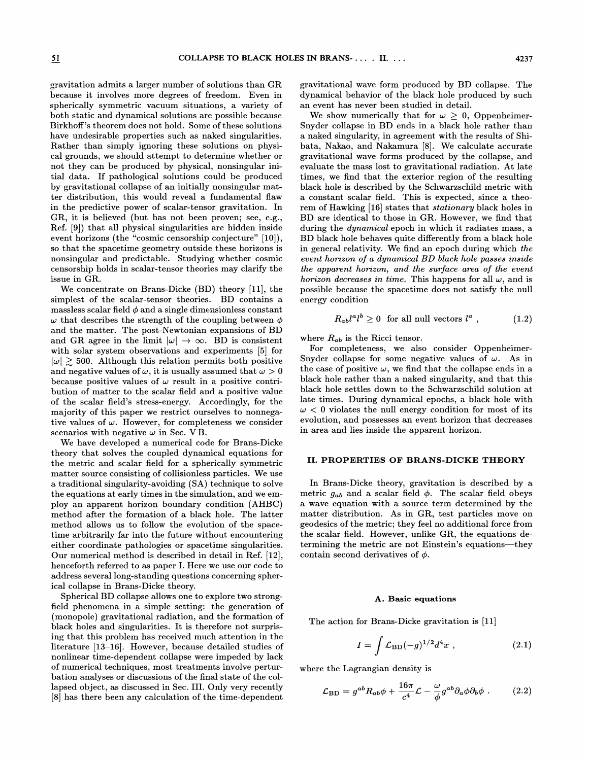gravitation admits a larger number of solutions than GR because it involves more degrees of freedom. Even in spherically symmetric vacuum situations, a variety of both static and dynamical solutions are possible because BirkhofI's theorem does not hold. Some of these solutions have undesirable properties such as naked singularities. Rather than simply ignoring these solutions on physical grounds, we should attempt to determine whether or not they can be produced by physical, nonsingular initial data. If pathological solutions could be produced by gravitational collapse of an initially nonsingular matter distribution, this would reveal a fundamental fIaw in the predictive power of scalar-tensor gravitation. In GR, it is believed (but has not been proven; see, e.g., Ref. [9]) that all physical singularities are hidden inside event horizons (the "cosmic censorship conjecture" [10]), so that the spacetime geometry outside these horizons is nonsingular and predictable. Studying whether cosmic censorship holds in scalar-tensor theories may clarify the issue in GR.

We concentrate on Brans-Dicke  $(BD)$  theory [11], the simplest of the scalar-tensor theories. BD contains a massless scalar field  $\phi$  and a single dimensionless constant  $\omega$  that describes the strength of the coupling between  $\phi$ and the matter. The post-Newtonian expansions of BD and GR agree in the limit  $|\omega| \to \infty$ . BD is consistent with solar system observations and experiments [5] for  $|\omega| \gtrsim 500$ . Although this relation permits both positive and negative values of  $\omega$ , it is usually assumed that  $\omega > 0$ because positive values of  $\omega$  result in a positive contribution of matter to the scalar field and a positive value of the scalar field's stress-energy. Accordingly, for the majority of this paper we restrict ourselves to nonnegative values of  $\omega$ . However, for completeness we consider scenarios with negative  $\omega$  in Sec. VB.

We have developed a numerical code for Brans-Dicke theory that solves the coupled dynamical equations for the metric and scalar field for a spherically symmetric matter source consisting of collisionless particles. We use a traditional singularity-avoiding (SA) technique to solve the equations at early times in the simulation, and we employ an apparent horizon boundary condition (AHBC) method after the formation of a black hole. The latter method allows us to follow the evolution of the spacetime arbitrarily far into the future without encountering either coordinate pathologies or spacetime singularities. Our numerical method is described in detail in Ref. [12], henceforth referred to as paper I. Here we use our code to address several long-standing questions concerning spherical collapse in Brans-Dicke theory.

Spherical BD collapse allows one to explore 'two strongfield phenomena in a simple setting: the generation of (monopole) gravitational radiation, and the formation of black holes and singularities. It is therefore not surprising that this problem has received much attention in the literature [13—16]. However, because detailed studies of nonlinear time-dependent collapse were impeded by lack of numerical techniques, most treatments involve perturbation analyses or discussions of the final state of the collapsed object, as discussed in Sec. III. Only very recently [8] has there been any calculation of the time-dependent

gravitational wave form produced by BD collapse. The dynamical behavior of the black hole produced by such an event has never been studied in detail.

We show numerically that for  $\omega \geq 0$ , Oppenheimer-Snyder collapse in BD ends in a black hole rather than a naked singularity, in agreement with the results of Shibata, Nakao, and Nakamura [8]. We calculate accurate gravitational wave forms produced by the collapse, and evaluate the mass lost to gravitational radiation. At late times, we find that the exterior region of the resulting black hole is described by the Schwarzschild metric with a constant scalar field. This is expected, since a theorem of Hawking [16] states that *stationary* black holes in BD are identical to those in GR. However, we find that during the dynamical epoch in which it radiates mass, a BD black hole behaves quite differently from a black hole in general relativity. We find an epoch during which the event horizon of a dynamical BD black hole passes inside the apparent horizon, and the surface area of the event horizon decreases in time. This happens for all  $\omega$ , and is possible because the spacetime does not satisfy the null energy condition

$$
R_{ab}l^a l^b \ge 0 \quad \text{for all null vectors } l^a \ , \tag{1.2}
$$

where  $R_{ab}$  is the Ricci tensor.

For completeness, we also consider Oppenheimer-Snyder collapse for some negative values of  $\omega$ . As in the case of positive  $\omega$ , we find that the collapse ends in a black hole rather than a naked singularity, and that this black hole settles down to the Schwarzschild solution at late times. During dynamical epochs, a black hole with  $\omega$  < 0 violates the null energy condition for most of its evolution, and possesses an event horizon that decreases in area and lies inside the apparent horizon.

# II. PROPERTIES OF BRANS-DICKE THEORY

In Brans-Dicke theory, gravitation is described by a metric  $g_{ab}$  and a scalar field  $\phi$ . The scalar field obeys a wave equation with a source term determined by the matter distribution. As in GR, test particles move on geodesics of the metric; they feel no additional force from the scalar field. However, unlike GR, the equations determining the metric are not Einstein's equations—they contain second derivatives of  $\phi$ .

#### A. Basic equations

The action for Brans-Dicke gravitation is [11]

$$
I = \int \mathcal{L}_{\rm BD}(-g)^{1/2} d^4x \;, \tag{2.1}
$$

where the Lagrangian density is

$$
\mathcal{L}_{\rm BD} = g^{ab} R_{ab} \phi + \frac{16\pi}{c^4} \mathcal{L} - \frac{\omega}{\phi} g^{ab} \partial_a \phi \partial_b \phi \ . \tag{2.2}
$$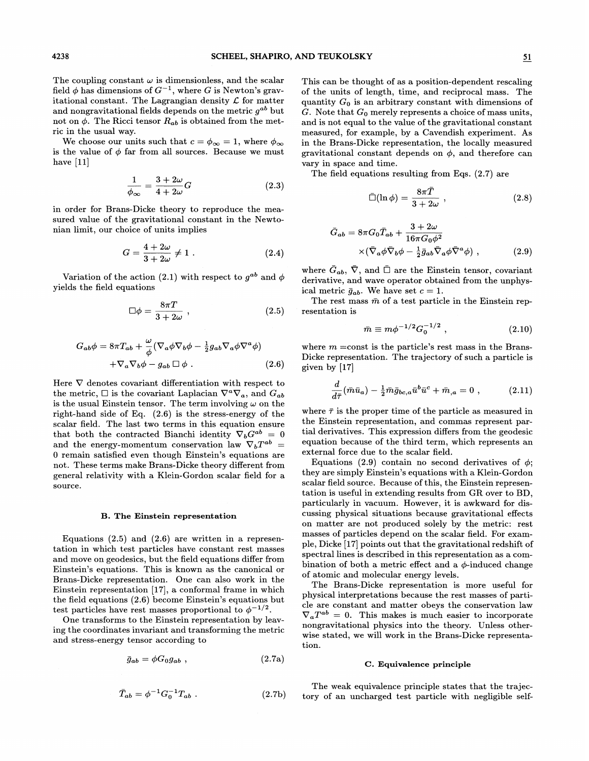The coupling constant  $\omega$  is dimensionless, and the scalar field  $\phi$  has dimensions of  $G^{-1}$ , where G is Newton's gravitational constant. The Lagrangian density  $\mathcal L$  for matter and nongravitational fields depends on the metric  $g^{ab}$  but not on  $\phi$ . The Ricci tensor  $R_{ab}$  is obtained from the metric in the usual way.

We choose our units such that  $c = \phi_{\infty} = 1$ , where  $\phi_{\infty}$ is the value of  $\phi$  far from all sources. Because we must have  $[11]$ 

$$
\frac{1}{\phi_{\infty}} = \frac{3 + 2\omega}{4 + 2\omega}G\tag{2.3}
$$

in order for Brans-Dicke theory to reproduce the measured value of the gravitational constant in the Newtonian limit, our choice of units implies

$$
G = \frac{4 + 2\omega}{3 + 2\omega} \neq 1.
$$
 (2.4)

Variation of the action (2.1) with respect to  $g^{ab}$  and  $\phi$ yields the field equations

$$
\Box \phi = \frac{8\pi T}{3 + 2\omega} \;, \tag{2.5}
$$

$$
G_{ab}\phi = 8\pi T_{ab} + \frac{\omega}{\phi} (\nabla_a \phi \nabla_b \phi - \frac{1}{2} g_{ab} \nabla_a \phi \nabla^a \phi) + \nabla_a \nabla_b \phi - g_{ab} \Box \phi .
$$
 (2.6)

Here  $\nabla$  denotes covariant differentiation with respect to the metric,  $\Box$  is the covariant Laplacian  $\nabla^a \nabla_a$ , and  $G_{ab}$ is the usual Einstein tensor. The term involving  $\omega$  on the right-hand side of Eq. (2.6) is the stress-energy of the scalar field. The last two terms in this equation ensure that both the contracted Bianchi identity  $\nabla_b G^{ab} = 0$ and the energy-momentum conservation law  $\nabla_b T^{ab}$  = 0 remain satisfied even though Einstein's equations are not. These terms make Brans-Dicke theory different from general relativity with a Klein-Gordon scalar field for a source.

#### B. The Einstein representation

Equations  $(2.5)$  and  $(2.6)$  are written in a representation in which test particles have constant rest masses and move on geodesics, but the field equations differ from Einstein's equations. This is known as the canonical or Brans-Dicke representation. One can also work in the Einstein representation [17], a conformal frame in which the field equations (2.6) become Einstein's equations but test particles have rest masses proportional to  $\phi^{-1/2}$ .

One transforms to the Einstein representation by leaving the coordinates invariant and transforming the metric and stress-energy tensor according to

$$
\bar{g}_{ab} = \phi G_0 g_{ab} , \qquad (2.7a)
$$

$$
\bar{T}_{ab} = \phi^{-1} G_0^{-1} T_{ab} . \qquad (2.7b)
$$

This can be thought of as a position-dependent rescaling of the units of length, time, and reciprocal mass. The quantity  $G_0$  is an arbitrary constant with dimensions of G. Note that  $G_0$  merely represents a choice of mass units, and is not equal to the value of the gravitational constant measured, for example, by a Cavendish experiment. As in the Brans-Dicke representation, the locally measured gravitational constant depends on  $\phi$ , and therefore can vary in space and time.

The field equations resulting from Eqs. (2.7) are

$$
\bar{\Box}(\ln \phi) = \frac{8\pi T}{3 + 2\omega} \;, \tag{2.8}
$$

$$
\bar{G}_{ab} = 8\pi G_0 \bar{T}_{ab} + \frac{3+2\omega}{16\pi G_0 \phi^2} \times (\bar{\nabla}_a \phi \bar{\nabla}_b \phi - \frac{1}{2} \bar{g}_{ab} \bar{\nabla}_a \phi \bar{\nabla}^a \phi) ,
$$
\n(2.9)

where  $\bar{G}_{ab}$ ,  $\bar{\nabla}$ , and  $\bar{\Box}$  are the Einstein tensor, covariant derivative, and wave operator obtained from the unphysical metric  $\bar{g}_{ab}$ . We have set  $c = 1$ .

The rest mass  $\bar{m}$  of a test particle in the Einstein representation is

$$
\bar{m} \equiv m\phi^{-1/2}G_0^{-1/2} , \qquad (2.10)
$$

where  $m =$ const is the particle's rest mass in the Brans-Dicke representation. The trajectory of such a particle is given by [17]

$$
\frac{d}{d\bar{\tau}}(\bar{m}\bar{u}_{a}) - \frac{1}{2}\bar{m}\bar{g}_{bc,a}\bar{u}^{b}\bar{u}^{c} + \bar{m}_{,a} = 0 , \qquad (2.11)
$$

where  $\bar{\tau}$  is the proper time of the particle as measured in the Einstein representation, and commas represent partial derivatives. This expression differs from the geodesic equation because of the third term, which represents an external force due to the scalar field.

Equations (2.9) contain no second derivatives of  $\phi$ : they are simply Einstein's equations with a Klein-Gordon scalar field source. Because of this, the Einstein representation is useful in extending results from GR over to BD, particularly in vacuum. However, it is awkward for discussing physical situations because gravitational effects on matter are not produced solely by the metric: rest masses of particles depend on the scalar field. For example, Dicke [17] points out that the gravitational redshift of spectral lines is described in this representation as a combination of both a metric effect and a  $\phi$ -induced change of atomic and molecular energy levels.

The Brans-Dicke representation is more useful for physical interpretations because the rest masses of particle are constant and matter obeys the conservation law  $\nabla_a T^{ab} = 0$ . This makes is much easier to incorporate nongravitational physics into the theory. Unless otherwise stated, we will work in the Brans-Dicke representation.

#### C. Equivalence principle

The weak equivalence principle states that the trajectory of an uncharged test particle with negligible self-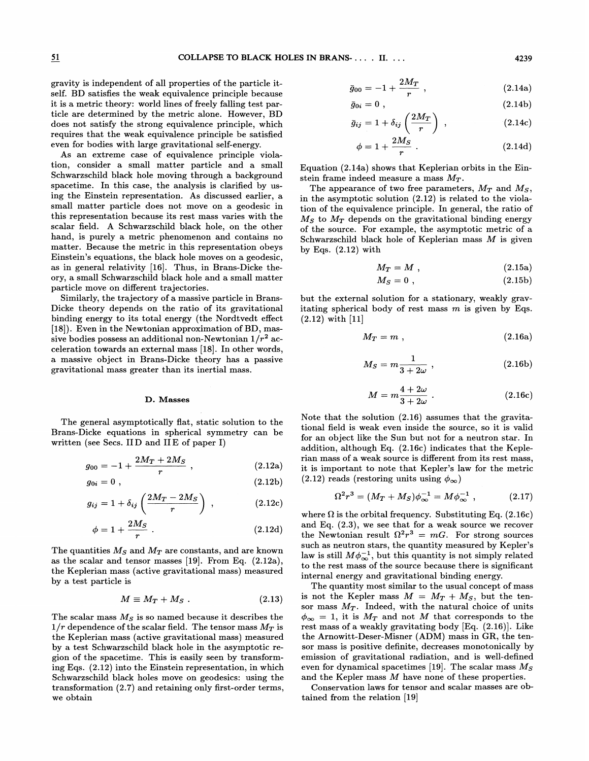gravity is independent of all properties of the particle itself. BD satisfies the weak equivalence principle because it is a metric theory: world lines of freely falling test particle are determined by the metric alone. However, BD does not satisfy the strong equivalence principle, which requires that the weak equivalence principle be satisfied even for bodies with large gravitational self-energy.

As an extreme case of equivalence principle violation, consider a small matter particle and a small Schwarzschild black hole moving through a background spacetime. In this case, the analysis is clarified by using the Einstein representation. As discussed earlier, a small matter particle does not move on a geodesic in this representation because its rest mass varies with the scalar field. A Schwarzschild black hole, on the other hand, is purely a metric phenomenon and contains no matter. Because the metric in this representation obeys Einstein's equations, the black hole moves on a geodesic, as in general relativity [16]. Thus, in Brans-Dicke theory, a small Schwarzschild black hole and a small matter particle move on different trajectories.

Similarly, the trajectory of a massive particle in Brans-Dicke theory depends on the ratio of its gravitational binding energy to its total energy (the Nordtvedt effect [18]). Even in the Newtonian approximation of BD, massive bodies possess an additional non-Newtonian  $1/r^2$  acceleration towards an external mass [18]. In other words, a massive object in Brans-Dicke theory has a passive gravitational mass greater than its inertial mass.

#### D. Masses

The general asymptotically flat, static solution to the Brans-Dicke equations in spherical symmetry can be written (see Secs. IID and IIE of paper I)

$$
g_{00} = -1 + \frac{2M_T + 2M_S}{r} , \qquad (2.12a)
$$

$$
g_{0i}=0\ ,\qquad \qquad (2.12b)
$$

$$
g_{ij} = 1 + \delta_{ij} \left( \frac{2M_T - 2M_S}{r} \right) , \qquad (2.12c)
$$

$$
\phi = 1 + \frac{2M_S}{r} \tag{2.12d}
$$

The quantities  $M_S$  and  $M_T$  are constants, and are known as the scalar and tensor masses [19). From Eq. (2.12a), the Keplerian mass (active gravitational mass) measured<br>by a test particle is<br> $M \equiv M_T + M_S$ . (2.13) by a test particle is

$$
M \equiv M_T + M_S \ . \tag{2.13}
$$

The scalar mass  $M<sub>S</sub>$  is so named because it describes the  $1/r$  dependence of the scalar field. The tensor mass  $M_T$  is the Keplerian mass (active gravitational mass) measured by a test Schwarzschild black hole in the asymptotic region of the spacetime. This is easily seen by transforming Eqs. (2.12) into the Einstein representation, in which Schwarzschild black holes move on geodesics: using the transformation (2.7) and retaining only first-order terms, we obtain

$$
\bar{g}_{00} = -1 + \frac{2M_T}{r} \t{2.14a}
$$

$$
\bar{g}_{0i} = 0 \t{,} \t(2.14b)
$$

$$
\bar{g}_{ij} = 1 + \delta_{ij} \left( \frac{2M_T}{r} \right) , \qquad (2.14c)
$$

$$
\phi = 1 + \frac{2M_S}{r} \tag{2.14d}
$$

Equation (2.14a) shows that Keplerian orbits in the Einstein frame indeed measure a mass  $M_T$ .

The appearance of two free parameters,  $M_T$  and  $M_S$ , in the asymptotic solution (2.12) is related to the violation of the equivalence principle. In general, the ratio of  $M<sub>S</sub>$  to  $M<sub>T</sub>$  depends on the gravitational binding energy of the source. For example, the asymptotic metric of a Schwarzschild black hole of Keplerian mass  $M$  is given by Eqs. (2.12) with

$$
M_T = M , \qquad (2.15a)
$$

$$
M_S = 0 \tag{2.15b}
$$

but the external solution for a stationary, weakly gravitating spherical body of rest mass  $m$  is given by Eqs.  $(2.12)$  with  $[11]$ 

$$
M_T = m \t{,} \t(2.16a)
$$

$$
M_S = m \frac{1}{3 + 2\omega} , \qquad (2.16b)
$$

$$
M = m\frac{4+2\omega}{3+2\omega} \ . \tag{2.16c}
$$

Note that the solution (2.16) assumes that the gravitational field is weak even inside the source, so it is valid for an object like the Sun but not for a neutron star. In addition, although Eq. (2.16c) indicates that the Keplerian mass of a weak source is diferent from its rest mass, it is important to note that Kepler's law for the metric  $(2.12)$  reads (restoring units using  $\phi_{\infty}$ )

$$
\Omega^2 r^3 = (M_T + M_S) \phi_{\infty}^{-1} = M \phi_{\infty}^{-1} , \qquad (2.17)
$$

where  $\Omega$  is the orbital frequency. Substituting Eq. (2.16c) and Eq. (2.3), we see that for a weak source we recover the Newtonian result  $\Omega^2 r^3 = mG$ . For strong sources such as neutron stars, the quantity measured by Kepler's law is still  $M\phi_{\infty}^{-1}$ , but this quantity is not simply related to the rest mass of the source because there is significant internal energy and gravitational binding energy.

The quantity most similar to the usual concept of mass is not the Kepler mass  $M = M_T + M_S$ , but the tensor mass  $M_T$ . Indeed, with the natural choice of units  $\phi_{\infty} = 1$ , it is  $M_T$  and not M that corresponds to the rest mass of a weakly gravitating body [Eq. (2.16)]. Like the Arnowitt-Deser-Misner (ADM) mass in GR, the tensor mass is positive definite, decreases monotonically by emission of gravitational radiation, and is well-defined even for dynamical spacetimes [19]. The scalar mass  $M_S$ and the Kepler mass M have none of these properties.

Conservation laws for tensor and scalar masses are obtained from the relation  $[19]$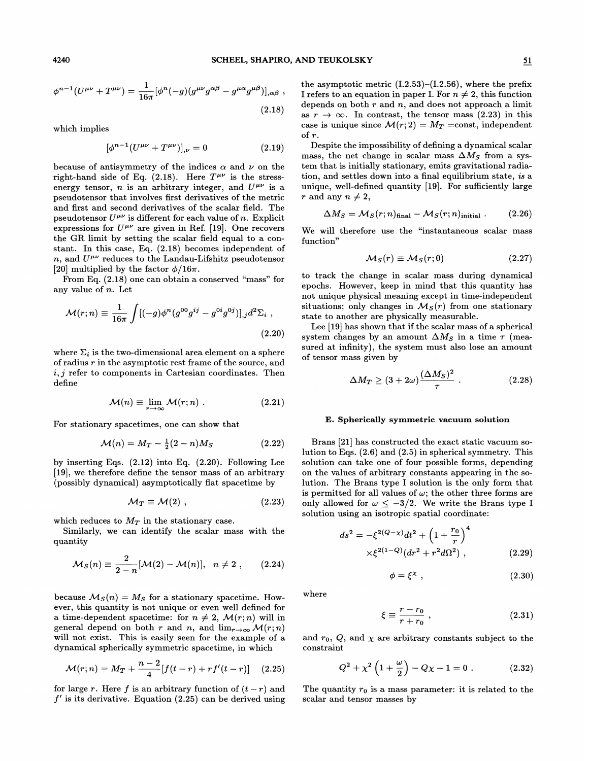$$
\phi^{n-1}(U^{\mu\nu} + T^{\mu\nu}) = \frac{1}{16\pi} [\phi^n(-g)(g^{\mu\nu}g^{\alpha\beta} - g^{\mu\alpha}g^{\mu\beta})]_{,\alpha\beta} ,
$$
\n(2.18)

which implies

$$
(\phi^{n-1}(U^{\mu\nu} + T^{\mu\nu})]_{,\nu} = 0 \tag{2.19}
$$

because of antisymmetry of the indices  $\alpha$  and  $\nu$  on the right-hand side of Eq. (2.18). Here  $T^{\mu\nu}$  is the stressenergy tensor, n is an arbitrary integer, and  $U^{\mu\nu}$  is a pseudotensor that involves first derivatives of the metric and first and second derivatives of the scalar field. The pseudotensor  $U^{\mu\nu}$  is different for each value of n. Explicit expressions for  $U^{\mu\nu}$  are given in Ref. [19]. One recovers the GR limit by setting the scalar field equal to a constant. In this case, Eq. (2.18) becomes independent of n, and  $U^{\mu\nu}$  reduces to the Landau-Lifshitz pseudotensor [20] multiplied by the factor  $\phi/16\pi$ .

From Eq. (2.18) one can obtain a conserved "mass" for any value of n. Let

$$
\mathcal{M}(r;n) \equiv \frac{1}{16\pi} \int [(-g)\phi^n (g^{00}g^{ij} - g^{0i}g^{0j})]_{,j} d^2 \Sigma_i ,
$$
\n(2.20)

where  $\Sigma_i$  is the two-dimensional area element on a sphere of radius r in the asymptotic rest frame of the source, and  $i, j$  refer to components in Cartesian coordinates. Then define

$$
\mathcal{M}(n) \equiv \lim_{r \to \infty} \mathcal{M}(r; n) . \tag{2.21}
$$

$$
\mathcal{M}(n) = M_T - \frac{1}{2}(2-n)M_S \tag{2.22}
$$

by inserting Eqs. (2.12) into Eq. (2.20). Following Lee [19], we therefore define the tensor mass of an arbitrary (possibly dynamical) asymptotically fiat spacetime by

$$
M_T \equiv \mathcal{M}(2) , \qquad (2.23)
$$

which reduces to  $M_T$  in the stationary case.

quantity

Similarly, we can identify the scalar mass with the  
antity  

$$
\mathcal{M}_S(n) \equiv \frac{2}{2-n} [\mathcal{M}(2) - \mathcal{M}(n)], \ \ n \neq 2 , \qquad (2.24)
$$

because  $\mathcal{M}_S(n) = M_S$  for a stationary spacetime. However, this quantity is not unique or even well defined for a time-dependent spacetime: for  $n \neq 2$ ,  $\mathcal{M}(r;n)$  will in general depend on both r and n, and  $\lim_{r\to\infty} \mathcal{M}(r; n)$ will not exist. This is easily seen for the example of a dynamical spherically symmetric spacetime, in which

$$
\mathcal{M}(r;n) = M_T + \frac{n-2}{4} [f(t-r) + rf'(t-r)] \quad (2.25)
$$

for large r. Here f is an arbitrary function of  $(t - r)$  and  $f'$  is its derivative. Equation (2.25) can be derived using the asymptotic metric  $(I.2.53)$ – $(I.2.56)$ , where the prefix I refers to an equation in paper I. For  $n \neq 2$ , this function depends on both  $r$  and  $n$ , and does not approach a limit as  $r \to \infty$ . In contrast, the tensor mass (2.23) in this case is unique since  $\mathcal{M}(r; 2) = M_T = \text{const}$ , independent of r.

Despite the impossibility of defining a dynamical scalar mass, the net change in scalar mass  $\Delta M_S$  from a system that is initially stationary, emits gravitational radiation, and settles down into a final equilibrium state, is a unique, well-defined quantity [19]. For sufficiently large r and any  $n \neq 2$ ,

$$
\Delta M_S = \mathcal{M}_S(r; n)_{\text{final}} - \mathcal{M}_S(r; n)_{\text{initial}} . \tag{2.26}
$$

We will therefore use the "instantaneous scalar mass<br>  $M_S(r) \equiv M_S(r; 0)$  (2.27) function"

$$
\mathcal{M}_S(r) \equiv \mathcal{M}_S(r;0) \tag{2.27}
$$

to track the change in scalar mass during dynamical epochs. However, keep in mind that this quantity has not unique physical meaning except in time-independent situations; only changes in  $\mathcal{M}_S(r)$  from one stationary state to another are physically measurable.

Lee  $[19]$  has shown that if the scalar mass of a spherical system changes by an amount  $\Delta M_S$  in a time  $\tau$  (measured at infinity), the system must also lose an amount of tensor mass given by

$$
\Delta M_T \ge (3 + 2\omega) \frac{(\Delta M_S)^2}{\tau} \ . \tag{2.28}
$$

# For stationary spacetimes, one can show that **E. Spherically symmetric vacuum solution**

Brans [21] has constructed the exact static vacuum solution to Eqs. (2.6) and (2.5) in spherical symmetry. This solution can take one of four possible forms, depending on the values of arbitrary constants appearing in the solution. The Brans type I solution is the only form that is permitted for all values of  $\omega$ ; the other three forms are only allowed for  $\omega \leq -3/2$ . We write the Brans type I solution using an isotropic spatial coordinate:

$$
ds^{2} = -\xi^{2(Q-\chi)}dt^{2} + \left(1 + \frac{r_{0}}{r}\right)^{4}
$$
  
 
$$
\times \xi^{2(1-Q)}(dr^{2} + r^{2}d\Omega^{2}), \qquad (2.29)
$$

$$
\phi = \xi^{\chi} \tag{2.30}
$$

where

$$
\xi \equiv \frac{r - r_0}{r + r_0} \; , \tag{2.31}
$$

and  $r_0$ ,  $Q$ , and  $\chi$  are arbitrary constants subject to the constraint

$$
Q^{2} + \chi^{2} \left( 1 + \frac{\omega}{2} \right) - Q \chi - 1 = 0 . \qquad (2.32)
$$

The quantity  $r_0$  is a mass parameter: it is related to the scalar and tensor masses by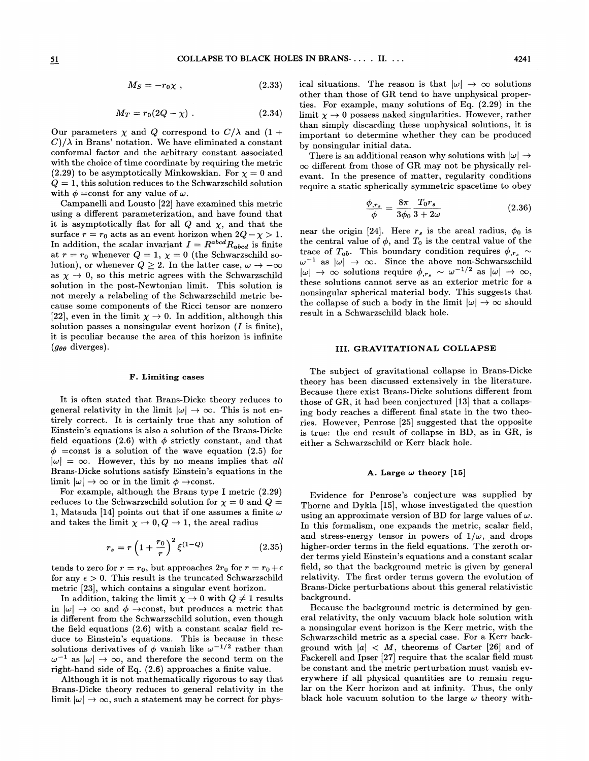$$
M_S = -r_0 \chi \t{,} \t(2.33)
$$

$$
M_T = r_0(2Q - \chi) \tag{2.34}
$$

Our parameters  $\chi$  and  $Q$  correspond to  $C/\lambda$  and  $(1 +$  $C/\lambda$  in Brans' notation. We have eliminated a constant conformal factor and the arbitrary constant associated with the choice of time coordinate by requiring the metric (2.29) to be asymptotically Minkowskian. For  $\chi = 0$  and  $Q = 1$ , this solution reduces to the Schwarzschild solution with  $\phi = \text{const}$  for any value of  $\omega$ .

Campanelli and Lousto [22] have examined this metric using a difFerent parameterization, and have found that it is asymptotically flat for all  $Q$  and  $\chi$ , and that the surface  $r = r_0$  acts as an event horizon when  $2Q - \chi > 1$ . In addition, the scalar invariant  $I = R^{abcd}R_{abcd}$  is finite at  $r = r_0$  whenever  $Q = 1$ ,  $\chi = 0$  (the Schwarzschild so-<br>lution), or whenever  $Q \ge 2$ . In the latter case,  $\omega \to -\infty$ lution), or whenever  $Q \ge 2$ . In the latter case,  $\omega \to -\infty$  as  $\chi \to 0$ , so this metric agrees with the Schwarzschild solution in the post-Newtonian limit. This solution is not merely a relabeling of the Schwarzschild metric because some components of the Ricci tensor are nonzero [22], even in the limit  $\chi \rightarrow 0$ . In addition, although this solution passes a nonsingular event horizon  $(I \text{ is finite}),$ it is peculiar because the area of this horizon is infinite  $(g_{\theta\theta}$  diverges).

## F. Limiting cases

It is often stated that Brans-Dicke theory reduces to general relativity in the limit  $|\omega| \to \infty$ . This is not entirely correct. It is certainly true that any solution of Einstein's equations is also a solution of the Brans-Dicke field equations (2.6) with  $\phi$  strictly constant, and that  $\phi$  =const is a solution of the wave equation (2.5) for  $|\omega| = \infty$ . However, this by no means implies that all Brans-Dicke solutions satisfy Einstein's equations in the limit  $|\omega| \to \infty$  or in the limit  $\phi \to \text{const.}$ 

For example, although the Brans type I metric (2.29) reduces to the Schwarzschild solution for  $\chi = 0$  and  $Q =$ 1, Matsuda [14] points out that if one assumes a finite  $\omega$ and takes the limit  $\chi \rightarrow 0, Q \rightarrow 1,$  the areal radius

$$
r_s = r \left( 1 + \frac{r_0}{r} \right)^2 \xi^{(1-Q)} \tag{2.35}
$$

tends to zero for  $r = r_0$ , but approaches  $2r_0$  for  $r = r_0 + \epsilon$ for any  $\epsilon > 0$ . This result is the truncated Schwarzschild metric [23], which contains a singular event horizon.

In addition, taking the limit  $\chi \to 0$  with  $Q \neq 1$  results in  $|\omega| \to \infty$  and  $\phi \to \text{const}$ , but produces a metric that is difFerent from the Schwarzschild solution, even though the field equations  $(2.6)$  with a constant scalar field reduce to Einstein's equations. This is because in these solutions derivatives of  $\phi$  vanish like  $\omega^{-1/2}$  rather than  $\omega^{-1}$  as  $|\omega| \to \infty$ , and therefore the second term on the right-hand side of Eq. (2.6) approaches a finite value.

Although it is not mathematically rigorous to say that Brans-Dicke theory reduces to general relativity in the limit  $|\omega| \to \infty$ , such a statement may be correct for phys-

cal situations. The reason is that  $|\omega| \to \infty$  solutions other than those of GR tend to have unphysical properties. For example, many solutions of Eq. (2.29) in the limit  $\chi \rightarrow 0$  possess naked singularities. However, rather than simply discarding these unphysical solutions, it is important to determine whether they can be produced by nonsingular initial data.

There is an additional reason why solutions with  $|\omega|\rightarrow\pm$  $\infty$  different from those of GR may not be physically relevant. In the presence of matter, regularity conditions require a static spherically symmetric spacetime to obey

$$
\frac{\phi_{,r_s}}{\phi} = \frac{8\pi}{3\phi_0} \frac{T_0 r_s}{3 + 2\omega} \tag{2.36}
$$

near the origin [24]. Here  $r_s$  is the areal radius,  $\phi_0$  is the central value of  $\phi$ , and  $T_0$  is the central value of the trace of  $T_{ab}$ . This boundary condition requires  $\phi_{,r_s} \sim$ as  $|\omega| \rightarrow \infty$ . Since the above non-Schwarszchild  $\rightarrow \infty$  solutions require  $\phi_{,r_s} \sim \omega^{-1/2}$  as  $|\omega| \rightarrow \infty$ , these solutions cannot serve as an exterior metric for a nonsingular spherical material body. This suggests that the collapse of such a body in the limit  $|\omega| \to \infty$  should result in a Schwarzschild black hole.

# III. GRAVITATIONAL COLLAPSE

The subject of gravitational collapse in Brans-Dicke theory has been discussed extensively in the literature. Because there exist Brans-Dicke solutions difFerent from those of GR, it had been conjectured  $[13]$  that a collapsing body reaches a difFerent final state in the two theories. However, Penrose [25] suggested that the opposite is true: the end result of collapse in BD, as in GR, is either a Schwarzschild or Kerr black hole.

## A. Large  $\omega$  theory [15]

Evidence for Penrose's conjecture was supplied by Thorne and Dykla [15], whose investigated the question using an approximate version of BD for large values of  $\omega$ . In this formalism, one expands the metric, scalar field, and stress-energy tensor in powers of  $1/\omega$ , and drops higher-order terms in the field equations. The zeroth order terms yield Einstein's equations and a constant scalar field, so that the background metric is given by general relativity. The first order terms govern the evolution of Brans-Dicke perturbations about this general relativistic background.

Because the background metric is determined by general relativity, the only vacuum black hole solution with a nonsingular event horizon is the Kerr metric, with the Schwarzschild metric as a special case. For a Kerr background with  $|a| < M$ , theorems of Carter [26] and of Fackerell and Ipser [27] require that the scalar field must be constant and the metric perturbation must vanish everywhere if all physical quantities are to remain regular on the Kerr horizon and at infinity. Thus, the only black hole vacuum solution to the large  $\omega$  theory with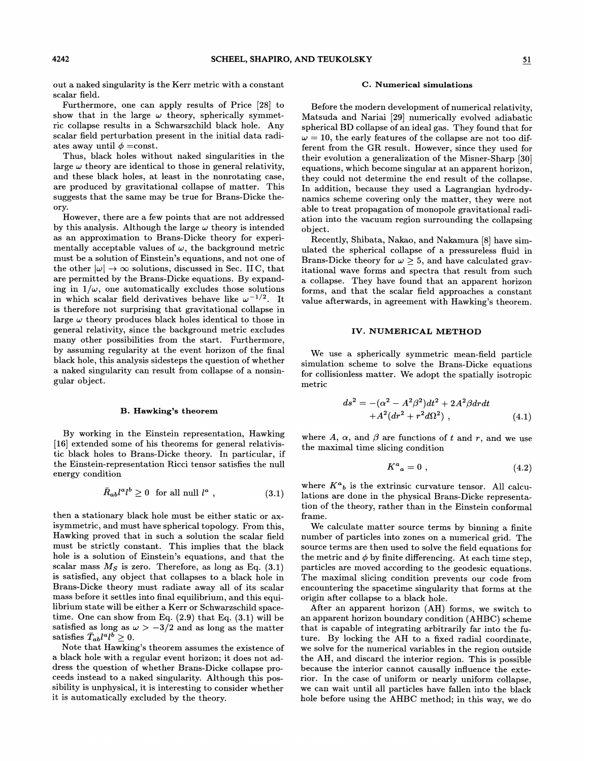out a naked singularity is the Kerr metric with a constant scalar field.

Furthermore, one can apply results of Price [28] to show that in the large  $\omega$  theory, spherically symmetric collapse results in a Schwarszchild black hole. Any scalar field perturbation present in the initial data radiates away until  $\phi$  =const.

Thus, black holes without naked singularities in the large  $\omega$  theory are identical to those in general relativity, and these black holes, at least in the nonrotating case, are produced by gravitational collapse of matter. This suggests that the same may be true for Brans-Dicke theory.

However, there are a few points that are not addressed by this analysis. Although the large  $\omega$  theory is intended as an approximation to Brans-Dicke theory for experimentally acceptable values of  $\omega$ , the background metric must be a solution of Einstein's equations, and not one of the other  $|\omega| \to \infty$  solutions, discussed in Sec. IIC, that are permitted by the Brans-Dicke equations. By expanding in  $1/\omega$ , one automatically excludes those solutions in which scalar field derivatives behave like  $\omega^{-1/2}$ . It is therefore not surprising that gravitational collapse in large  $\omega$  theory produces black holes identical to those in general relativity, since the background metric excludes many other possibilities from the start. Furthermore, by assuming regularity at the event horizon of the final black hole, this analysis sidesteps the question of whether a naked singularity can result from collapse of a nonsingular object.

## B. Hawking's theorem

By working in the Einstein representation, Hawking [16] extended some of his theorems for general relativistic black holes to Brans-Dicke theory. In particular, if the Einstein-representation Ricci tensor satisfies the null energy condition

$$
\bar{R}_{ab}l^a l^b \ge 0 \quad \text{for all null } l^a \;, \tag{3.1}
$$

then a stationary black hole must be either static or axisymmetric, and must have spherical topology. From this, Hawking proved that in such a solution the scalar field must be strictly constant. This implies that the black hole is a solution of Einstein's equations, and that the scalar mass  $M<sub>S</sub>$  is zero. Therefore, as long as Eq. (3.1) is satisfied, any object that collapses to a black hole in Brans-Dicke theory must radiate away all of its scalar mass before it settles into final equilibrium, and this equilibrium state will be either a Kerr or Schwarzschild spacetime. One can show from Eq.  $(2.9)$  that Eq.  $(3.1)$  will be satisfied as long as  $\omega > -3/2$  and as long as the matter satisfies  $\bar{T}_{ab}l^a l^b > 0$ .

Note that Hawking's theorem assumes the existence of a black hole with a regular event horizon; it does not address the question of whether Brans-Dicke collapse proceeds instead to a naked singularity. Although this possibility is unphysical, it is interesting to consider whether it is automatically excluded by the theory.

#### C. Numerical simulations

Before the modern development of numerical relativity, Matsuda and Nariai [29] numerically evolved adiabatic spherical BD collapse of an ideal gas. They found that for  $\omega = 10$ , the early features of the collapse are not too different from the GR result. However, since they used for their evolution a generalization of the Misner-Sharp [30] equations, which become singular at an apparent horizon, they could not determine the end result of the collapse. In addition, because they used a Lagrangian hydrodynamics scheme covering only the matter, they were not able to treat propagation of monopole gravitationa1 radiation into the vacuum region surrounding the collapsing object.

Recently, Shibata, Nakao, and Nakamura [8] have simulated the spherical collapse of a pressureless fluid in Brans-Dicke theory for  $\omega \geq 5$ , and have calculated gravitational wave forms and spectra that result from such a collapse. They have found that an apparent horizon forms, and that the scalar field approaches a constant value afterwards, in agreement with Hawking's theorem.

## IV. NUMERICAL METHOD

We use a spherically symmetric mean-field particle simulation scheme to solve the Brans-Dicke equations for collisionless matter. We adopt the spatially isotropic metric

$$
ds^{2} = -(\alpha^{2} - A^{2}\beta^{2})dt^{2} + 2A^{2}\beta drdt + A^{2}(dr^{2} + r^{2}d\Omega^{2}),
$$
 (4.1)

where A,  $\alpha$ , and  $\beta$  are functions of t and r, and we use the maximal time slicing condition

$$
K^a{}_a = 0 \tag{4.2}
$$

where  $K^a{}_b$  is the extrinsic curvature tensor. All calculations are done in the physical Brans-Dicke representation of the theory, rather than in the Einstein conformal frame.

We calculate matter source terms by binning a finite number of particles into zones on a numerical grid. The source terms are then used to solve the field equations for the metric and  $\phi$  by finite differencing. At each time step, particles are moved according to the geodesic equations. The maximal slicing condition prevents our code from encountering the spacetime singularity that forms at the origin after collapse to a black hole.

After an apparent horizon (AH) forms, we switch to an apparent horizon boundary condition (AHBC) scheme that is capable of integrating arbitrarily far into the future. By locking the AH to a fixed radial coordinate, we solve for the numerical variables in the region outside the AH, and discard the interior region. This is possible because the interior cannot causally inhuence the exterior. In the case of uniform or nearly uniform collapse, we can wait until all particles have fallen into the black hole before using the AHBC method; in this way, we do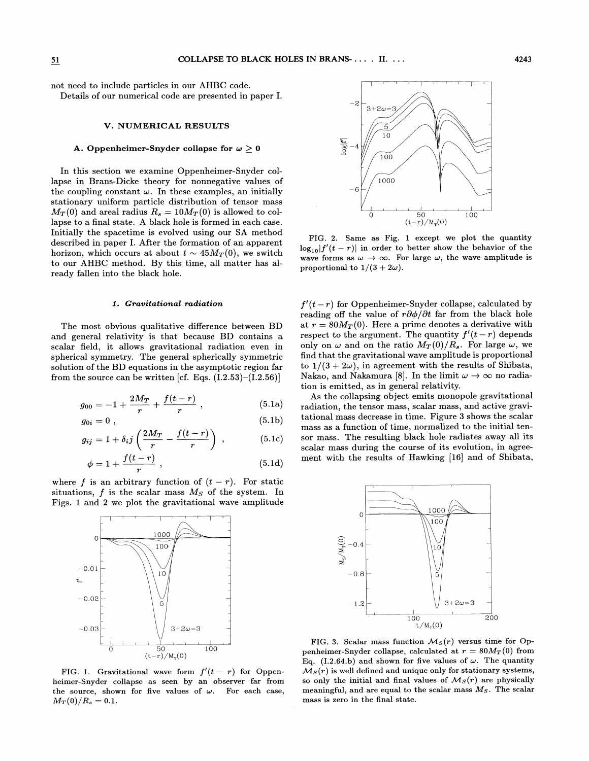not need to include particles in our AHBC code. Details of our numerical code are presented in paper

## V. NUMERICAL RESULTS

## A. Oppenheimer-Snyder collapse for  $\omega \geq 0$

In this section we examine Oppenheimer-Snyder collapse in Brans-Dicke theory for nonnegative values of the coupling constant  $\omega$ . In these examples, an initially stationary uniform particle distribution of tensor mass  $M_T(0)$  and areal radius  $R_s = 10M_T(0)$  is allowed to collapse to a final state. A black hole is formed in each case.  $\rm Initially\,\,the\,\,spacetime\,\,is\,\,evolved\,\,using\,\,our\,\,SA\,\,methc$ described in paper I. After the formation of an apparent horizon, which occurs at about  $t \sim 45M_T(0)$ , we switch to our AHBC method. By this time, all matter has already fallen into the black hole.

#### 1. Gravitational radiation

The most obvious qualitative difference between BD and general relativity is that because BD contains a scalar field, it allows gravitational radiation even in spherical symmetry. The general spherically symmetric solution of the BD equations in the asymptotic region far from the source can be written [cf. Eqs.  $(\overline{1.2.53})$  – $(\overline{1.2.56})$ ]

$$
g_{00} = -1 + \frac{2M_T}{r} + \frac{f(t-r)}{r} , \qquad (5.1a)
$$

$$
g_{0i} = 0 \t{,} \t(5.1b)
$$

$$
g_{ij} = 1 + \delta_i j \left( \frac{2M_T}{r} - \frac{f(t-r)}{r} \right) , \qquad (5.1c)
$$

$$
\phi = 1 + \frac{f(t - r)}{r} \tag{5.1d}
$$

where f is an arbitrary function of  $(t - r)$ . For static situations, f is the scalar mass  $M<sub>S</sub>$  of the system. In Figs. 1 and 2 we plot the gravitational wave amplitude



FIG. 1. Gravitational wave form  $f'(t-r)$  for Oppenheimer-Snyder collapse as seen by an observer far from the source, shown for five values of  $\omega$ . For each case,  $M_T(0)/R_s = 0.1.$ 



FIG. 2. Same as Fig. 1 except we plot the quantity  $\log_{10} |f'(t - r)|$  in order to better show the behavior of the wave forms as  $\omega \to \infty$ . For large  $\omega$ , the wave amplitude is proportional to  $1/(3 + 2\omega)$ .

 $f'(t - r)$  for Oppenheimer-Snyder collapse, calculated by reading off the value of  $r\partial\phi/\partial t$  far from the black hole at  $r = 80M_T(0)$ . Here a prime denotes a derivative with respect to the argument. The quantity  $f'(t-r)$  depends only on  $\omega$  and on the ratio  $M_T(0)/R_s$ . For large  $\omega$ , we find that the gravitational wave amplitude is proportiona to  $1/(3 + 2\omega)$ , in agreement with the results of Shibata, Nakao, and Nakamura [8]. In the limit  $\omega \to \infty$  no radiation is emitted, as in general relativity.

As the collapsing object emits monopole gravitational radiation, the tensor mass, scalar mass, and active gravitational mass decrease in time. Figure 3 shows the scalar mass as a function of time, normalized to the initial tensor mass. The resulting black hole radiates away all its scalar mass during the course of its evolution, in agreement with the results of Hawking [16] and of Shibata,



FIG. 3. Scalar mass function  $\mathcal{M}_S(r)$  versus time for Oppenheimer-Snyder collapse, calculated at  $r = 80 M_T(0)$  from Eq. (I.2.64.b) and shown for five values of  $\omega$ . The quantity  $\mathcal{M}_S(r)$  is well defined and unique only for stationary systems, so only the initial and final values of  $\mathcal{M}_S(r)$  are physically meaning ful, and are equal to the scalar mass  $M<sub>S</sub>$ . The scalar mass is zero in the final state.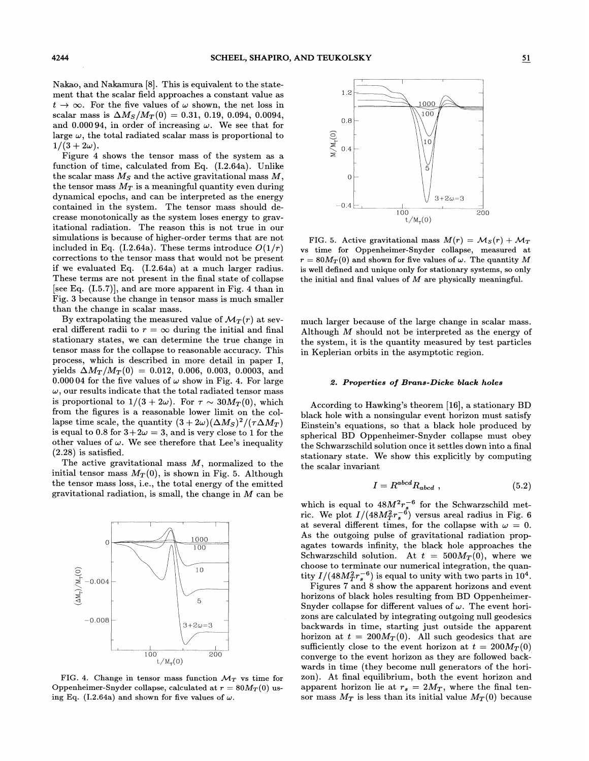Nakao, and Nakamura [8]. This is equivalent to the statement that the scalar field approaches a constant value as  $t \to \infty$ . For the five values of  $\omega$  shown, the net loss in scalar mass is  $\Delta M_S/M_T(0) = 0.31, 0.19, 0.094, 0.0094,$ and 0.00094, in order of increasing  $\omega$ . We see that for large  $\omega$ , the total radiated scalar mass is proportional to  $1/(3 + 2\omega)$ .

Figure 4 shows the tensor mass of the system as a function of time, calculated from Eq. (I.2.64a). Unlike the scalar mass  $M_S$  and the active gravitational mass  $M$ , the tensor mass  $M_T$  is a meaningful quantity even during dynamical epochs, and can be interpreted as the energy contained in the system. The tensor mass should decrease monotonically as the system loses energy to gravitational radiation. The reason this is not true in our simulations is because of higher-order terms that are not included in Eq. (I.2.64a). These terms introduce  $O(1/r)$ corrections to the tensor mass that would not be present if we evaluated Eq. (I.2.64a) at a much larger radius. These terms are not present in the final state of collapse [see Eq.  $(1.5.7)$ ], and are more apparent in Fig. 4 than in Fig. 3 because the change in tensor mass is much smaller than the change in scalar mass.

By extrapolating the measured value of  $\mathcal{M}_T(r)$  at several different radii to  $r = \infty$  during the initial and final stationary states, we can determine the true change in tensor mass for the collapse to reasonable accuracy. This process, which is described in more detail in paper I, yields  $\Delta M_T / M_T(0) = 0.012, 0.006, 0.003, 0.0003,$  and 0.00004 for the five values of  $\omega$  show in Fig. 4. For large  $\omega,$  our results indicate that the total radiated tensor mass is proportional to  $1/(3 + 2\omega)$ . For  $\tau \sim 30 M_T(0)$ , which from the figures is a reasonable lower limit on the collapse time scale, the quantity  $(3+2\omega)(\Delta M_S)^2/(\tau \Delta M_T)$ is equal to 0.8 for  $3+2\omega = 3$ , and is very close to 1 for the other values of  $\omega$ . We see therefore that Lee's inequality  $(2.28)$  is satisfied.

The active gravitational mass  $M$ , normalized to the initial tensor mass  $M_T(0)$ , is shown in Fig. 5. Although the tensor mass loss, i.e., the total energy of the emitted gravitational radiation, is small, the change in  $M$  can be



FIG. 4. Change in tensor mass function  $\mathcal{M}_T$  vs time for Oppenheimer-Snyder collapse, calculated at  $r = 80M_T(0)$  using Eq. (I.2.64a) and shown for five values of  $\omega$ .



FIG. 5. Active gravitational mass  $M(r) = M_S(r) + M_T$ vs time for Oppenheimer-Snyder collapse, measured at  $r = 80M_T(0)$  and shown for five values of  $\omega$ . The quantity M is well defined and unique only for stationary systems, so only the initial and final values of  $M$  are physically meaningful.

much larger because of the large change in scalar mass. Although M should not be interpreted as the energy of the system, it is the quantity measured by test particles in Keplerian orbits in the asymptotic region.

#### 2. Properties of Brans-Dicke black holes

According to Hawking's theorem [16], a stationary BD black hole with a nonsingular event horizon must satisfy Einstein's equations, so that a black hole produced by spherical BD Oppenheimer-Snyder collapse must obey the Schwarzschild solution once it settles down into a final stationary state. We show this explicitly by computing the scalar invariant

$$
I = R^{abcd} R_{abcd} , \t\t(5.2)
$$

which is equal to  $48M^2r_s^{-6}$  for the Schwarzschild metric. We plot  $I/(48M_T^2r_s^{-6})$  versus areal radius in Fig. 6 at several different times, for the collapse with  $\omega = 0$ . As the outgoing pulse of gravitational radiation propagates towards infinity, the black hole approaches the Schwarzschild solution. At  $t = 500M_T(0)$ , where we choose to terminate our numerical integration, the quanity  $I/(48M_T^2r_s^{-6})$  is equal to unity with two parts in  $10^4$ .

Figures 7 and 8 show the apparent horizons and event horizons of black holes resulting from BD Oppenheimer-Snyder collapse for different values of  $\omega$ . The event horizons are calculated by integrating outgoing null geodesics backwards in time, starting just outside the apparent horizon at  $t = 200M_T(0)$ . All such geodesics that are sufficiently close to the event horizon at  $t = 200M_T(0)$ converge to the event horizon as they are followed backwards in time (they become null generators of the horizon). At ffnal equilibrium, both the event horizon and apparent horizon lie at  $r_s = 2M_T$ , where the final tensor mass  $M_T$  is less than its initial value  $M_T(0)$  because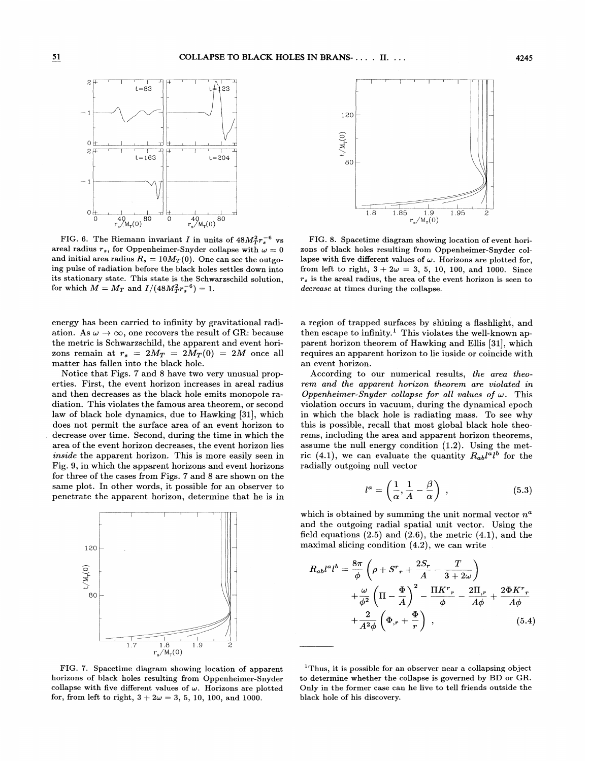

FIG. 6. The Riemann invariant I in units of  $48M<sub>T</sub><sup>2</sup>r<sub>s</sub><sup>-6</sup>$  vs areal radius  $r_s$ , for Oppenheimer-Snyder collapse with  $\omega = 0$ and initial area radius  $R_s = 10 M_T(0)$ . One can see the outgoing pulse of radiation before the black holes settles down into its stationary state. This state is the Schwarzschild solution, for which  $M = M_T$  and  $I/(48M_T^2 r_s^{-6}) = 1$ .

energy has been carried to infinity by gravitational radiation. As  $\omega \to \infty$ , one recovers the result of GR: because the metric is Schwarzschild, the apparent and event horizons remain at  $r_s = 2M_T = 2M_T (0) = 2M$  once all matter has fallen into the black hole.

Notice that Figs. 7 and 8 have two very unusual properties. First, the event horizon increases in areal radius and then decreases as the black hole emits monopole radiation. This violates the famous area theorem, or second law of black hole dynamics, due to Hawking [31], which does not permit the surface area of an event horizon to decrease over time. Second, during the time in which the area of the event horizon decreases, the event horizon lies inside the apparent horizon. This is more easily seen in Fig. 9, in which the apparent horizons and event horizons for three of the cases from Figs. 7 and 8 are shown on the same plot. In other words, it possible for an observer to penetrate the apparent horizon, determine that he is in



FIG. 7. Spacetime diagram showing location of apparent horizons of black holes resulting from Oppenheimer-Snyder collapse with five different values of  $\omega$ . Horizons are plotted for, from left to right,  $3 + 2\omega = 3, 5, 10, 100$ , and 1000.



FIG. 8. Spacetime diagram showing location of event horizons of black holes resulting from Oppenheimer-Snyder collapse with five different values of  $\omega$ . Horizons are plotted for, from left to right,  $3 + 2\omega = 3, 5, 10, 100,$  and 1000. Since  $r<sub>s</sub>$  is the areal radius, the area of the event horizon is seen to decrease at times during the collapse.

a region of trapped surfaces by shining a flashlight, and then escape to infinity.<sup>1</sup> This violates the well-known apparent horizon theorem of Hawking and Ellis [31], which requires an apparent horizon to lie inside or coincide with an event horizon.

According to our numerical results, the area theorem and the apparent horizon theorem are violated in Oppenheimer-Snyder collapse for all values of  $\omega$ . This violation occurs in vacuum, during the dynamical epoch in which the black hole is radiating mass. To see why this is possible, recall that most global black hole theorems, including the area and apparent horizon theorems, assume the null energy condition (1.2). Using the metric (4.1), we can evaluate the quantity  $R_{ab}l^a l^b$  for the radially outgoing null vector

$$
l^a = \left(\frac{1}{\alpha}, \frac{1}{A} - \frac{\beta}{\alpha}\right) , \qquad (5.3)
$$

which is obtained by summing the unit normal vector  $n^a$ and the outgoing radial spatial unit vector. Using the field equations  $(2.5)$  and  $(2.6)$ , the metric  $(4.1)$ , and the maximal slicing condition (4.2), we can write

$$
R_{ab}l^{a}l^{b} = \frac{8\pi}{\phi} \left(\rho + S^{r}{}_{r} + \frac{2S_{r}}{A} - \frac{T}{3 + 2\omega}\right) + \frac{\omega}{\phi^{2}} \left(\Pi - \frac{\Phi}{A}\right)^{2} - \frac{\Pi K^{r}{}_{r}}{\phi} - \frac{2\Pi_{r}{}_{r}}{A\phi} + \frac{2\Phi K^{r}{}_{r}}{A\phi} + \frac{2}{A^{2}\phi} \left(\Phi_{r} + \frac{\Phi}{r}\right) ,
$$
 (5.4)

<sup>1</sup>Thus, it is possible for an observer near a collapsing object to determine whether the collapse is governed by BD or GR. Only in the former case can he live to tell friends outside the black hole of his discovery.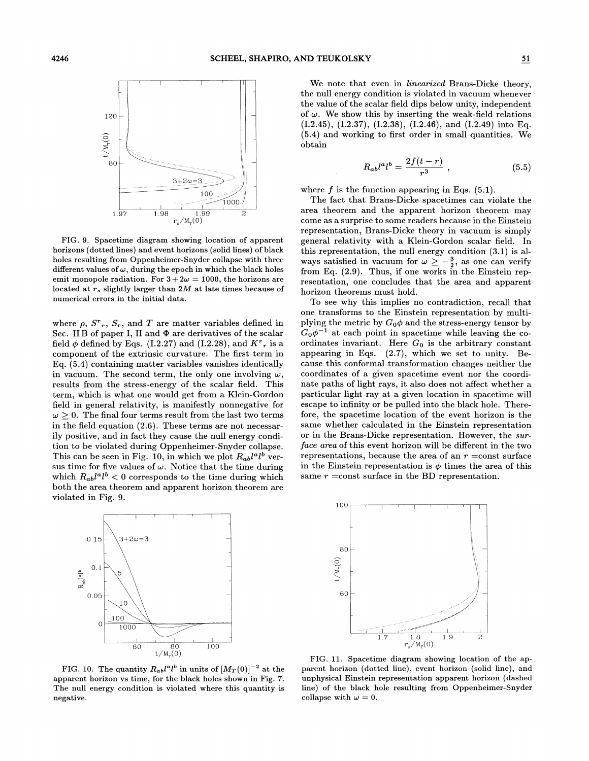

FIG. 9. Spacetime diagram showing location of apparent horizons (dotted lines) and event horizons (solid lines) of black holes resulting from Oppenheimer-Snyder collapse with three different values of  $\omega$ , during the epoch in which the black holes emit monopole radiation. For  $3+2\omega = 1000$ , the horizons are located at  $r_s$  slightly larger than 2M at late times because of numerical errors in the initial data.

where  $\rho$ ,  $S^r$ ,  $S_r$ , and T are matter variables defined in Sec. IIB of paper I,  $\Pi$  and  $\Phi$  are derivatives of the scalar field  $\phi$  defined by Eqs. (I.2.27) and (I.2.28), and  $K^r{}_r$  is a component of the extrinsic curvature. The first term in Eq. (5.4) containing matter variables vanishes identically in vacuum. The second term, the only one involving  $\omega$ , results from the stress-energy of the scalar field. This term, which is what one would get from a Klein-Gordon field in general relativity, is manifestly nonnegative for  $\omega \geq 0$ . The final four terms result from the last two terms in the field equation (2.6). These terms are not necessarily positive, and in fact they cause the null energy condition to be violated during Oppenheimer-Snyder collapse. This can be seen in Fig. 10, in which we plot  $R_{ab}l^a l^b$  versus time for five values of  $\omega$ . Notice that the time during which  $R_{ab}l^a l^b < 0$  corresponds to the time during which both the area theorem and apparent horizon theorem are violated in Fig. 9.



FIG. 10. The quantity  $R_{ab}l^a l^b$  in units of  $[M_T(0)]^{-2}$  at the apparent horizon vs time, for the black holes shown in Fig. 7. The null energy condition is violated where this quantity is negative.

We note that even in *linearized* Brans-Dicke theory, the null energy condition is violated in vacuum whenever the value of the scalar field dips below unity, independent of  $\omega$ . We show this by inserting the weak-field relations (I.2.45), (I.2.37), (I.2.38), (I.2.46), and (I.2.49) into Eq. (5.4) and working to first order in small quantities. We obtain

$$
R_{ab}l^a l^b = \frac{2f(t-r)}{r^3} \t{,} \t(5.5)
$$

where  $f$  is the function appearing in Eqs.  $(5.1)$ .

The fact that Brans-Dicke spacetimes can violate the area theorem and the apparent horizon theorem may come as a surprise to some readers because in the Einstein representation, Brans-Dicke theory in vacuum is simply general relativity with a Klein-Gordon scalar field. In this representation, the null energy condition (3.1) is always satisfied in vacuum for  $\omega \geq -\frac{3}{2}$ , as one can verify from Eq. (2.9). Thus, if one works in the Einstein representation, one concludes that the area and apparent horizon theorems must hold.

To see why this implies no contradiction, recall that one transforms to the Einstein representation by multiplying the metric by  $G_0\phi$  and the stress-energy tensor by  $G_0\phi^{-1}$  at each point in spacetime while leaving the coordinates invariant. Here  $G_0$  is the arbitrary constant appearing in Eqs. (2.7), which we set to unity. Because this conformal transformation changes neither the coordinates of a given spacetime event nor the coordinate paths of light rays, it also does not affect whether a particular light ray at a given location in spacetime will escape to infinity or be pulled into the black hole. Therefore, the spacetime location of the event horizon is the same whether calculated in the Einstein representation or in the Brans-Dicke representation. However, the surface area of this event horizon will be different in the two representations, because the area of an  $r =$ const surface in the Einstein representation is  $\phi$  times the area of this same  $r = \text{const}$  surface in the BD representation.



FIG. 11. Spacetime diagram showing location of the apparent horizon (dotted line), event horizon (solid line), and unphysical Einstein representation apparent horizon (dashed line) of the black hole resulting from Oppenheimer-Snyder collapse with  $\omega = 0$ .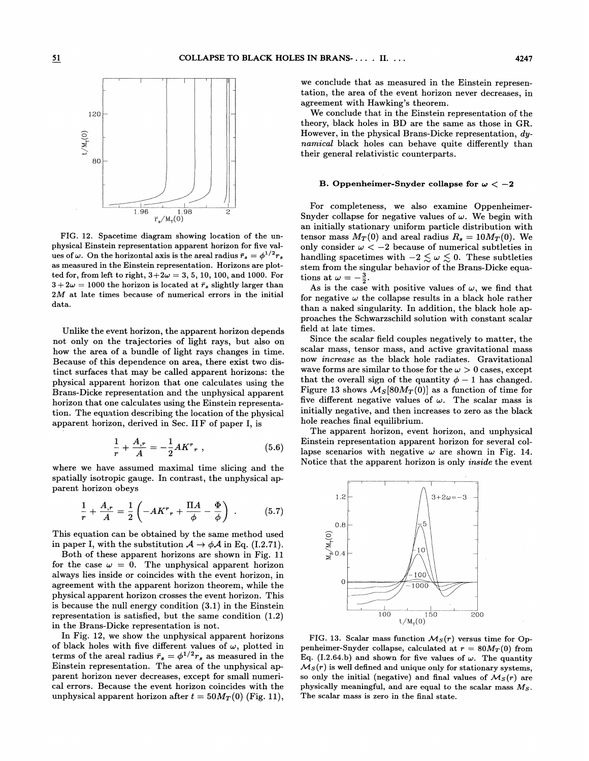

FIG. 12. Spacetime diagram showing location of the unphysical Einstein representation apparent horizon for five values of  $\omega$ . On the horizontal axis is the areal radius  $\bar{r}_s = \phi^{1/2} r_s$ as measured in the Einstein representation. Horizons are plotted for, from left to right,  $3+2\omega = 3, 5, 10, 100,$  and 1000. For  $3+2\omega = 1000$  the horizon is located at  $\bar{r}_s$  slightly larger than 2M at late times because of numerical errors in the initial data.

Unlike the event horizon, the apparent horizon depends not only on the trajectories of light rays, but also on how the area of a bundle of light rays changes in time. Because of this dependence on area, there exist two distinct surfaces that may be called apparent horizons: the physical apparent horizon that one calculates using the Brans-Dicke representation and the unphysical apparent horizon that one calculates using the Einstein representation. The equation describing the location of the physical apparent horizon, derived in Sec. IIF of paper I, is<br>  $\frac{1}{n} + \frac{A_r}{A} = -\frac{1}{2}AK^r_r$ ,

$$
\frac{1}{r} + \frac{A_{,r}}{A} = -\frac{1}{2}AK^{r}, \qquad (5.6)
$$

where we have assumed maximal time slicing and the spatially isotropic gauge. In contrast, the unphysical apparent horizon obeys

$$
\frac{1}{r} + \frac{A_{,r}}{A} = \frac{1}{2} \left( -AK^{r}{}_{r} + \frac{\Pi A}{\phi} - \frac{\Phi}{\phi} \right) . \tag{5.7}
$$

This equation can be obtained by the same method used in paper I, with the substitution  $A \rightarrow \phi A$  in Eq. (I.2.71).

Both of these apparent horizons are shown in Fig. 11 for the case  $\omega = 0$ . The unphysical apparent horizon always lies inside or coincides with the event horizon, in agreement with the apparent horizon theorem, while the physical apparent horizon crosses the event horizon. This is because the null energy condition (3.1) in the Einstein representation is satisfied, but the same condition (1.2) in the Brans-Dicke representation is not.

In Fig. 12, we show the unphysical apparent horizons of black holes with five different values of  $\omega$ , plotted in terms of the areal radius  $\bar{r}_s = \phi^{1/2}r_s$  as measured in the Einstein representation. The area of the unphysical apparent horizon never decreases, except for small numerical errors. Because the event horizon coincides with the unphysical apparent horizon after  $t = 50M_T(0)$  (Fig. 11),

we conclude that as measured in the Einstein representation, the area of the event horizon never decreases, in agreement with Hawking's theorem.

We conclude that in the Einstein representation of the theory, black holes in BD are the same as those in GR. However, in the physical Brans-Dicke representation, dynamical black holes can behave quite differently than their general relativistic counterparts.

# B. Oppenheimer-Snyder collapse for  $\omega < -2$

For completeness, we also examine Oppenheimer-Snyder collapse for negative values of  $\omega$ . We begin with an initially stationary uniform particle distribution with tensor mass  $M_T(0)$  and areal radius  $R_s = 10 M_T(0)$ . We only consider  $\omega < -2$  because of numerical subtleties in handling spacetimes with  $-2 \lesssim \omega \lesssim 0$ . These subtleties stem from the singular behavior of the Brans-Dicke equations at  $\omega = -\frac{3}{2}$ .

As is the case with positive values of  $\omega$ , we find that for negative  $\omega$  the collapse results in a black hole rather than a naked singularity. In addition, the black hole approaches the Schwarzschild solution with constant scalar field at late times.

Since the scalar field couples negatively to matter, the scalar mass, tensor mass, and active gravitational mass now *increase* as the black hole radiates. Gravitational wave forms are similar to those for the  $\omega > 0$  cases, except that the overall sign of the quantity  $\phi - 1$  has changed. Figure 13 shows  $\mathcal{M}_S[80M_T(0)]$  as a function of time for five different negative values of  $\omega$ . The scalar mass is initially negative, and then increases to zero as the black hole reaches final equilibrium.

The apparent horizon, event horizon, and unphysical Einstein representation apparent horizon for several collapse scenarios with negative  $\omega$  are shown in Fig. 14. Notice that the apparent horizon is only inside the event



FIG. 13. Scalar mass function  $\mathcal{M}_S(r)$  versus time for Oppenheimer-Snyder collapse, calculated at  $r = 80M_T(0)$  from Eq. (I.2.64.b) and shown for five values of  $\omega$ . The quantity  $\mathcal{M}_S(r)$  is well defined and unique only for stationary systems, so only the initial (negative) and final values of  $\mathcal{M}_S(r)$  are physically meaningful, and are equal to the scalar mass  $M_S$ . The scalar mass is zero in the final state.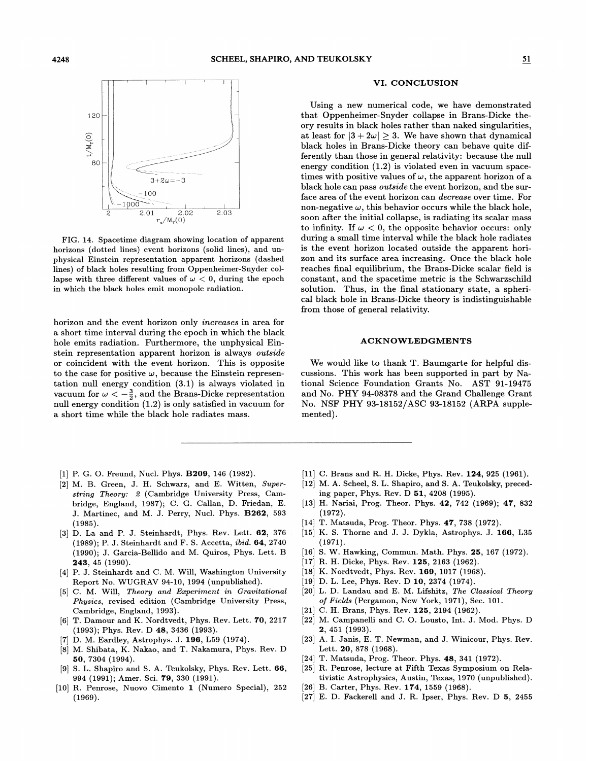

FIG. 14. Spacetime diagram showing location of apparent horizons (dotted lines) event horizons (solid lines), and unphysical Einstein representation apparent horizons (dashed lines) of black holes resulting from Oppenheimer-Snyder collapse with three different values of  $\omega < 0$ , during the epoch in which the black holes emit monopole radiation.

horizon and the event horizon only increases in area for a short time interval during the epoch in which the black hole emits radiation. Furthermore, the unphysical Einstein representation apparent horizon is always outside or coincident with the event horizon. This is opposite to the case for positive  $\omega$ , because the Einstein representation null energy condition (3.1) is always violated in vacuum for  $\omega < -\frac{3}{2}$ , and the Brans-Dicke representation null energy condition (1.2) is only satisfied in vacuum for a short time while the black hole radiates mass.

- [1] P. G. O. Freund, Nucl. Phys. **B209**, 146 (1982).
- [2] M. B. Green, J. H. Schwarz, and E. Witten, Super string Theory: 2 (Cambridge University Press, Cambridge, England, 1987); C. G. Callan, D. Friedan, E. J. Martinec, and M. J. Perry, Nucl. Phys. B262, 593 (1985).
- [3] D. La and P. J. Steinhardt, Phys. Rev. Lett. 62, 376  $(1989)$ ; P. J. Steinhardt and F. S. Accetta, *ibid.* 64, 2740. (1990); J. Garcia-Bellido and M. Quiros, Phys. Lett. B 243, 45 (1990).
- [4] P. J. Steinhardt and C. M. Will, Washington University Report No. WUGRAV 94-10, 1994 (unpublished).
- [5] C. M. Will, Theory and Experiment in Gravitational Physics, revised edition (Cambridge University Press, Cambridge, England, 1993).
- [6] T. Damour and K. Nordtvedt, Phys. Rev. Lett. 70, 2217 (1993); Phys. Rev. D 48, 3436 (1993).
- [7] D. M. Eardley, Astrophys. 3. 196, L59 (1974).
- M. Shibata, K. Nakao, and T. Nakamura, Phys. Rev. D 50, 7304 (1994).
- S. L. Shapiro and S. A. Teukolsky, Phys. Rev. Lett. 66, 994 (1991);Amer. Sci. 79, 330 (1991).
- [10] R. Penrose, Nuovo Cimento 1 (Numero Special), 252 (1969).

#### VI. CONCLUSION

Using a new numerical code, we have demonstrated that Oppenheimer-Snyder collapse in Brans-Dicke theory results in black holes rather than naked singularities, at least for  $|3+2\omega| \geq 3$ . We have shown that dynamical black holes in Brans-Dicke theory can behave quite differently than those in general relativity: because the null energy condition (1.2) is violated even in vacuum spacetimes with positive values of  $\omega$ , the apparent horizon of a black hole can pass outside the event horizon, and the surface area of the event horizon can decrease over time. For non-negative  $\omega$ , this behavior occurs while the black hole, soon after the initial collapse, is radiating its scalar mass to infinity. If  $\omega < 0$ , the opposite behavior occurs: only during a small time interval while the black hole radiates is the event horizon located outside the apparent horizon and its surface area increasing. Once the black hole reaches final equilibrium, the Brans-Dicke scalar field is constant, and the spacetime metric is the Schwarzschild solution. Thus, in the final stationary state, a spherical black hole in Brans-Dicke theory is indistinguishable from those of general relativity.

## ACKNOWLEDGMENTS

We would like to thank T. Baumgarte for helpful discussions. This work has been supported in part by National Science Foundation Grants No. AST 91-19475 and No. PHY 94-08378 and the Grand Challenge Grant No. NSF PHY 93-18152/ASC 93-18152 (ARPA supplemented) .

- [11] C. Brans and R. H. Dicke, Phys. Rev. 124, 925 (1961).
- [12] M. A. Scheel, S. L. Shapiro, and S. A. Teukolsky, preceding paper, Phys. Rev. D 51, 4208 (1995).
- [13] H. Nariai, Prog. Theor. Phys. 42, 742 (1969); 47, 832 (1972).
- [14] T. Matsuda, Prog. Theor. Phys. 47, 738 (1972).
- [15] K. S. Thorne and J. J. Dykla, Astrophys. J. 166, L35 (1971).
- [16] S. W. Hawking, Commun. Math. Phys. 25, 167 (1972).
- [17] R. H. Dicke, Phys. Rev. 125, 2163 (1962).
- [18] K. Nordtvedt, Phys. Rev. 169, 1017 (1968).
- [19] D. L. Lee, Phys. Rev. D 10, 2374 (1974).
- [20] L. D. Landau and E. M. Lifshitz, The Classical Theory of Fields (Pergamon, New York, 1971), Sec. 101.
- [21] C. H. Brans, Phys. Rev. 125, 2194 (1962).
- [22] M. Campanelli and C. O. Lousto, Int. J. Mod. Phys. <sup>D</sup> 2, 451 (1993).
- [23] A. I. Janis, E. T. Newman, and J. Winicour, Phys. Rev. Lett. 20, 878 (1968).
- [24] T. Matsuda, Prog. Theor. Phys. 48, 341 (1972).
- [25] R. Penrose, lecture at Fifth Texas Symposium on Relativistic Astrophysics, Austin, Texas, 1970 (unpublished).
- [26] B. Carter, Phys. Rev. 174, 1559 (1968).
- [27] E. D. Fackerell and J. R. Ipser, Phys. Rev. <sup>D</sup> 5, <sup>2455</sup>